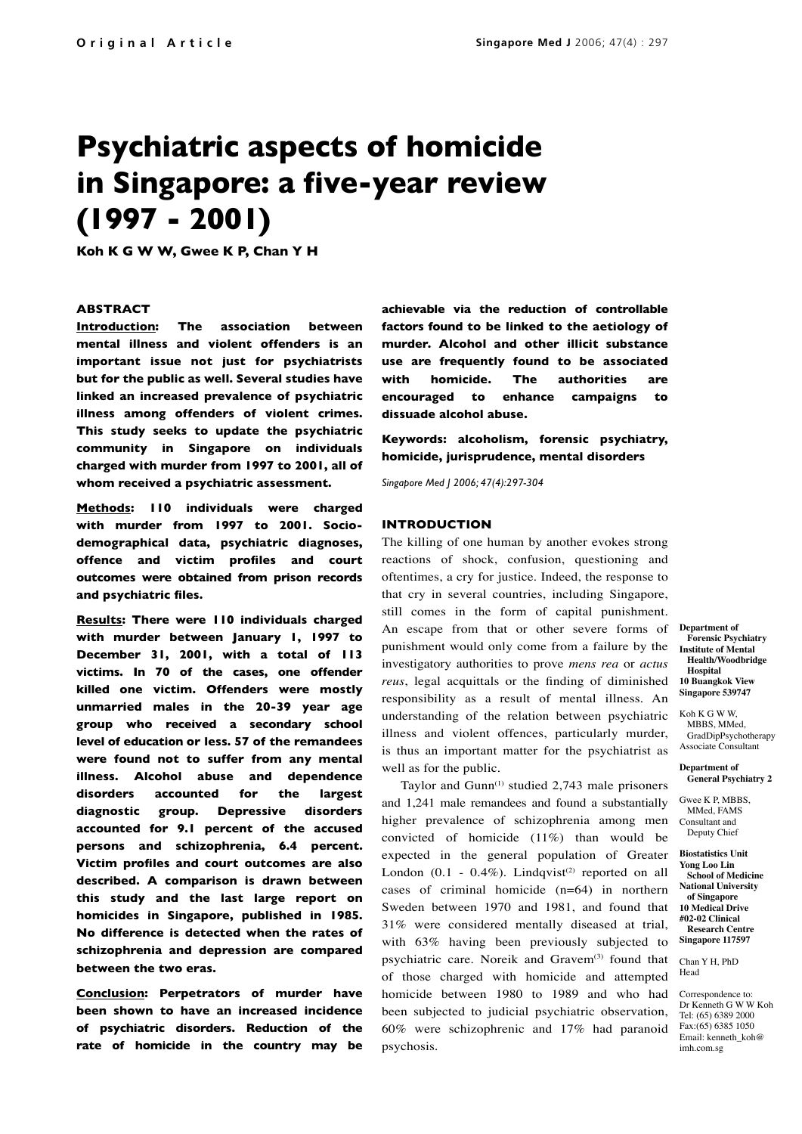# **Psychiatric aspects of homicide in Singapore: a five-year review (1997 - 2001)**

**Koh K G W W, Gwee K P, Chan Y H**

## **ABSTRACT**

**Introduction: The association between mental illness and violent offenders is an important issue not just for psychiatrists but for the public as well. Several studies have linked an increased prevalence of psychiatric illness among offenders of violent crimes. This study seeks to update the psychiatric community in Singapore on individuals charged with murder from 1997 to 2001, all of whom received a psychiatric assessment.** 

**Methods: 110 individuals were charged with murder from 1997 to 2001. Sociodemographical data, psychiatric diagnoses, offence and victim profiles and court outcomes were obtained from prison records and psychiatric files.**

**Results: There were 110 individuals charged with murder between January 1, 1997 to December 31, 2001, with a total of 113 victims. In 70 of the cases, one offender killed one victim. Offenders were mostly unmarried males in the 20-39 year age group who received a secondary school level of education or less. 57 of the remandees were found not to suffer from any mental illness. Alcohol abuse and dependence disorders accounted for the largest diagnostic group. Depressive disorders accounted for 9.1 percent of the accused persons and schizophrenia, 6.4 percent. Victim profiles and court outcomes are also described. A comparison is drawn between this study and the last large report on homicides in Singapore, published in 1985. No difference is detected when the rates of schizophrenia and depression are compared between the two eras.** 

**Conclusion: Perpetrators of murder have been shown to have an increased incidence of psychiatric disorders. Reduction of the rate of homicide in the country may be**  **achievable via the reduction of controllable factors found to be linked to the aetiology of murder. Alcohol and other illicit substance use are frequently found to be associated with homicide. The authorities are encouraged to enhance campaigns to dissuade alcohol abuse.**

**Keywords: alcoholism, forensic psychiatry, homicide, jurisprudence, mental disorders**

*Singapore Med J 2006; 47(4):297-304*

## **INTRODUCTION**

The killing of one human by another evokes strong reactions of shock, confusion, questioning and oftentimes, a cry for justice. Indeed, the response to that cry in several countries, including Singapore, still comes in the form of capital punishment. An escape from that or other severe forms of punishment would only come from a failure by the investigatory authorities to prove *mens rea* or *actus reus*, legal acquittals or the finding of diminished responsibility as a result of mental illness. An understanding of the relation between psychiatric illness and violent offences, particularly murder, is thus an important matter for the psychiatrist as well as for the public.

Taylor and Gunn<sup>(1)</sup> studied 2,743 male prisoners and 1,241 male remandees and found a substantially higher prevalence of schizophrenia among men convicted of homicide (11%) than would be expected in the general population of Greater London  $(0.1 - 0.4\%)$ . Lindqvist<sup>(2)</sup> reported on all cases of criminal homicide (n=64) in northern Sweden between 1970 and 1981, and found that 31% were considered mentally diseased at trial, with 63% having been previously subjected to psychiatric care. Noreik and Gravem<sup>(3)</sup> found that of those charged with homicide and attempted homicide between 1980 to 1989 and who had been subjected to judicial psychiatric observation, 60% were schizophrenic and 17% had paranoid psychosis.

**Department of Forensic Psychiatry Institute of Mental Health/Woodbridge Hospital 10 Buangkok View Singapore 539747**

Koh K G W W, MBBS, MMed, GradDipPsychotherapy Associate Consultant

**Department of General Psychiatry 2**

Gwee K P, MBBS, MMed, FAMS Consultant and Deputy Chief

**Biostatistics Unit Yong Loo Lin School of Medicine National University of Singapore 10 Medical Drive #02-02 Clinical Research Centre Singapore 117597**

Chan Y H, PhD Head

Correspondence to: Dr Kenneth G W W Koh Tel: (65) 6389 2000 Fax:(65) 6385 1050 Email: kenneth\_koh@ imh.com.sg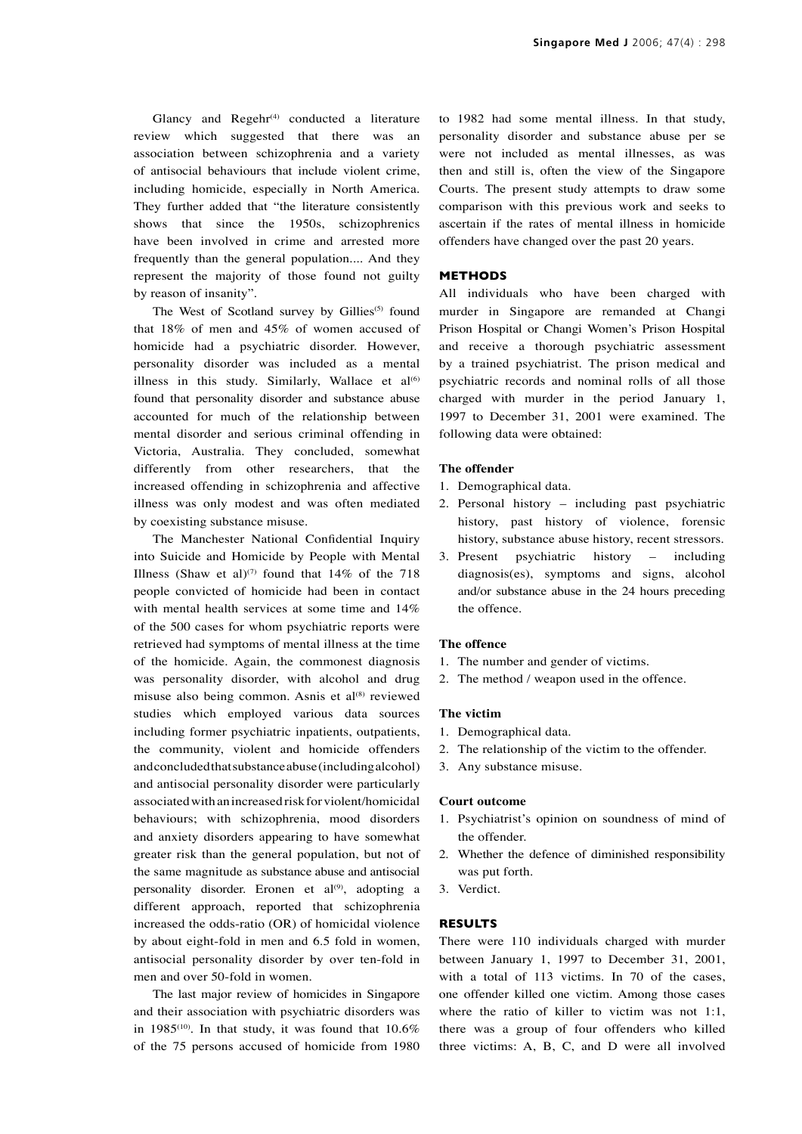Glancy and  $Regehr^{(4)}$  conducted a literature review which suggested that there was an association between schizophrenia and a variety of antisocial behaviours that include violent crime, including homicide, especially in North America. They further added that "the literature consistently shows that since the 1950s, schizophrenics have been involved in crime and arrested more frequently than the general population.... And they represent the majority of those found not guilty by reason of insanity".

The West of Scotland survey by Gillies<sup>(5)</sup> found that 18% of men and 45% of women accused of homicide had a psychiatric disorder. However, personality disorder was included as a mental illness in this study. Similarly, Wallace et  $aI^{(6)}$ found that personality disorder and substance abuse accounted for much of the relationship between mental disorder and serious criminal offending in Victoria, Australia. They concluded, somewhat differently from other researchers, that the increased offending in schizophrenia and affective illness was only modest and was often mediated by coexisting substance misuse.

The Manchester National Confidential Inquiry into Suicide and Homicide by People with Mental Illness (Shaw et al)<sup>(7)</sup> found that  $14\%$  of the 718 people convicted of homicide had been in contact with mental health services at some time and 14% of the 500 cases for whom psychiatric reports were retrieved had symptoms of mental illness at the time of the homicide. Again, the commonest diagnosis was personality disorder, with alcohol and drug misuse also being common. Asnis et al<sup>(8)</sup> reviewed studies which employed various data sources including former psychiatric inpatients, outpatients, the community, violent and homicide offenders and concluded that substance abuse (including alcohol) and antisocial personality disorder were particularly associated with an increased risk for violent/homicidal behaviours; with schizophrenia, mood disorders and anxiety disorders appearing to have somewhat greater risk than the general population, but not of the same magnitude as substance abuse and antisocial personality disorder. Eronen et al<sup>(9)</sup>, adopting a different approach, reported that schizophrenia increased the odds-ratio (OR) of homicidal violence by about eight-fold in men and 6.5 fold in women, antisocial personality disorder by over ten-fold in men and over 50-fold in women.

The last major review of homicides in Singapore and their association with psychiatric disorders was in 1985<sup>(10)</sup>. In that study, it was found that  $10.6\%$ of the 75 persons accused of homicide from 1980

to 1982 had some mental illness. In that study, personality disorder and substance abuse per se were not included as mental illnesses, as was then and still is, often the view of the Singapore Courts. The present study attempts to draw some comparison with this previous work and seeks to ascertain if the rates of mental illness in homicide offenders have changed over the past 20 years.

# **METHODS**

All individuals who have been charged with murder in Singapore are remanded at Changi Prison Hospital or Changi Women's Prison Hospital and receive a thorough psychiatric assessment by a trained psychiatrist. The prison medical and psychiatric records and nominal rolls of all those charged with murder in the period January 1, 1997 to December 31, 2001 were examined. The following data were obtained:

# **The offender**

- 1. Demographical data.
- 2. Personal history including past psychiatric history, past history of violence, forensic history, substance abuse history, recent stressors.
- 3. Present psychiatric history including diagnosis(es), symptoms and signs, alcohol and/or substance abuse in the 24 hours preceding the offence.

#### **The offence**

- 1. The number and gender of victims.
- 2. The method / weapon used in the offence.

# **The victim**

- 1. Demographical data.
- 2. The relationship of the victim to the offender.
- 3. Any substance misuse.

# **Court outcome**

- 1. Psychiatrist's opinion on soundness of mind of the offender.
- 2. Whether the defence of diminished responsibility was put forth.
- 3. Verdict.

# **RESULTS**

There were 110 individuals charged with murder between January 1, 1997 to December 31, 2001, with a total of 113 victims. In 70 of the cases, one offender killed one victim. Among those cases where the ratio of killer to victim was not 1:1, there was a group of four offenders who killed three victims: A, B, C, and D were all involved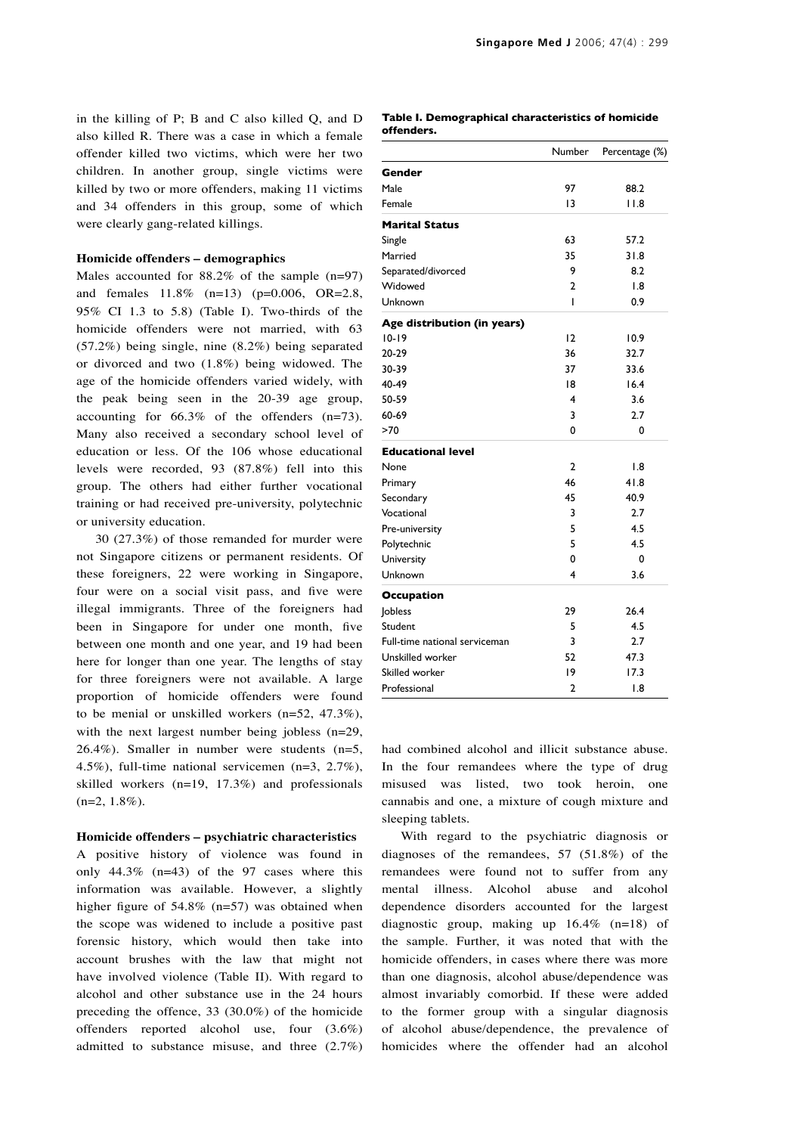in the killing of P; B and C also killed Q, and D also killed R. There was a case in which a female offender killed two victims, which were her two children. In another group, single victims were killed by two or more offenders, making 11 victims and 34 offenders in this group, some of which were clearly gang-related killings.

#### **Homicide offenders – demographics**

Males accounted for  $88.2\%$  of the sample (n=97) and females 11.8% (n=13) (p=0.006, OR=2.8, 95% CI 1.3 to 5.8) (Table I). Two-thirds of the homicide offenders were not married, with 63 (57.2%) being single, nine (8.2%) being separated or divorced and two (1.8%) being widowed. The age of the homicide offenders varied widely, with the peak being seen in the 20-39 age group, accounting for 66.3% of the offenders (n=73). Many also received a secondary school level of education or less. Of the 106 whose educational levels were recorded, 93 (87.8%) fell into this group. The others had either further vocational training or had received pre-university, polytechnic or university education.

30 (27.3%) of those remanded for murder were not Singapore citizens or permanent residents. Of these foreigners, 22 were working in Singapore, four were on a social visit pass, and five were illegal immigrants. Three of the foreigners had been in Singapore for under one month, five between one month and one year, and 19 had been here for longer than one year. The lengths of stay for three foreigners were not available. A large proportion of homicide offenders were found to be menial or unskilled workers (n=52, 47.3%), with the next largest number being jobless (n=29, 26.4%). Smaller in number were students (n=5, 4.5%), full-time national servicemen (n=3, 2.7%), skilled workers (n=19, 17.3%) and professionals  $(n=2, 1.8\%).$ 

#### **Homicide offenders – psychiatric characteristics**

A positive history of violence was found in only 44.3% (n=43) of the 97 cases where this information was available. However, a slightly higher figure of 54.8% (n=57) was obtained when the scope was widened to include a positive past forensic history, which would then take into account brushes with the law that might not have involved violence (Table II). With regard to alcohol and other substance use in the 24 hours preceding the offence, 33 (30.0%) of the homicide offenders reported alcohol use, four (3.6%) admitted to substance misuse, and three (2.7%)

| Table I. Demographical characteristics of homicide |  |
|----------------------------------------------------|--|
| offenders.                                         |  |

|                               | Number         | Percentage (%) |
|-------------------------------|----------------|----------------|
| Gender                        |                |                |
| Male                          | 97             | 88.2           |
| Female                        | 13             | 11.8           |
| <b>Marital Status</b>         |                |                |
| Single                        | 63             | 57.2           |
| Married                       | 35             | 31.8           |
| Separated/divorced            | 9              | 8.2            |
| Widowed                       | 2              | 1.8            |
| Unknown                       | ı              | 0.9            |
| Age distribution (in years)   |                |                |
| $10 - 19$                     | 12             | 10.9           |
| 20-29                         | 36             | 32.7           |
| 30-39                         | 37             | 33.6           |
| 40-49                         | 18             | 16.4           |
| 50-59                         | 4              | 3.6            |
| 60-69                         | 3              | 2.7            |
| >70                           | 0              | 0              |
| <b>Educational level</b>      |                |                |
| None                          | 2              | 1.8            |
| Primary                       | 46             | 41.8           |
| Secondary                     | 45             | 40.9           |
| Vocational                    | 3              | 2.7            |
| Pre-university                | 5              | 4.5            |
| Polytechnic                   | 5              | 4.5            |
| University                    | 0              | 0              |
| Unknown                       | 4              | 3.6            |
| <b>Occupation</b>             |                |                |
| Jobless                       | 29             | 26.4           |
| Student                       | 5              | 4.5            |
| Full-time national serviceman | 3              | 2.7            |
| Unskilled worker              | 52             | 47.3           |
| Skilled worker                | 9              | 17.3           |
| Professional                  | $\overline{2}$ | 1.8            |

had combined alcohol and illicit substance abuse. In the four remandees where the type of drug misused was listed, two took heroin, one cannabis and one, a mixture of cough mixture and sleeping tablets.

With regard to the psychiatric diagnosis or diagnoses of the remandees, 57 (51.8%) of the remandees were found not to suffer from any mental illness. Alcohol abuse and alcohol dependence disorders accounted for the largest diagnostic group, making up 16.4% (n=18) of the sample. Further, it was noted that with the homicide offenders, in cases where there was more than one diagnosis, alcohol abuse/dependence was almost invariably comorbid. If these were added to the former group with a singular diagnosis of alcohol abuse/dependence, the prevalence of homicides where the offender had an alcohol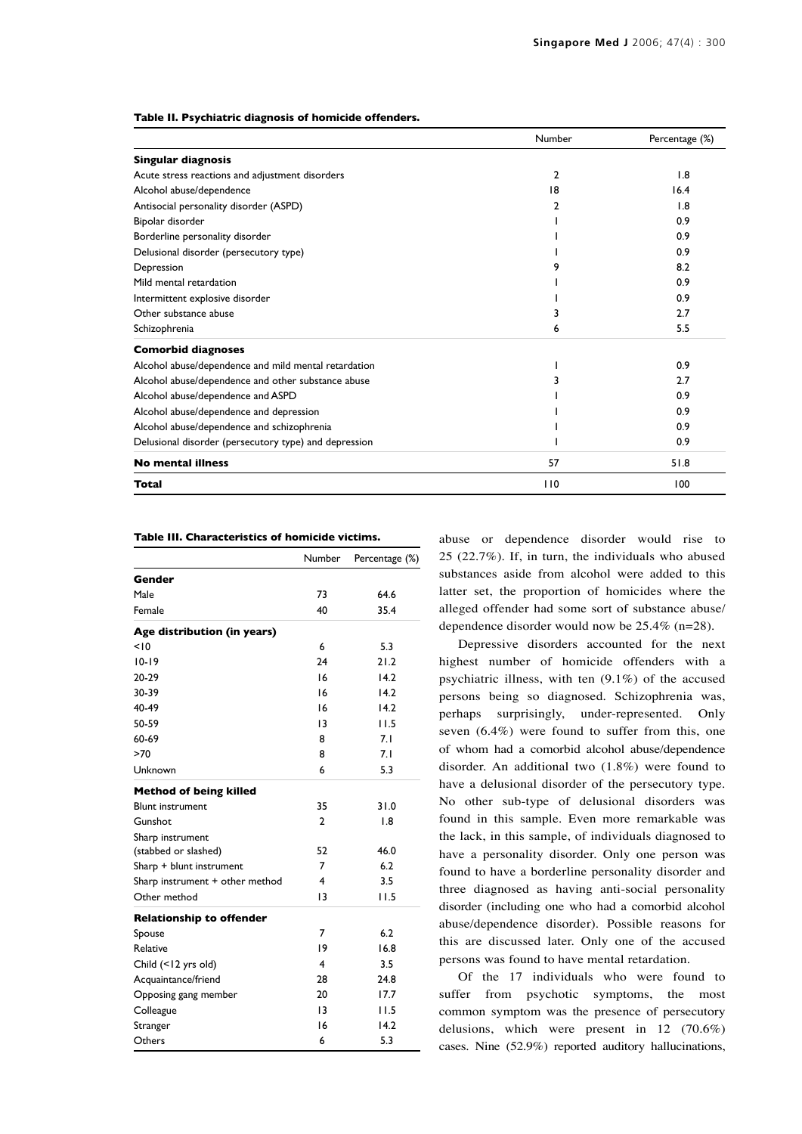|  |  | Table II. Psychiatric diagnosis of homicide offenders. |  |  |
|--|--|--------------------------------------------------------|--|--|
|--|--|--------------------------------------------------------|--|--|

|                                                       | Number | Percentage (%) |
|-------------------------------------------------------|--------|----------------|
| <b>Singular diagnosis</b>                             |        |                |
| Acute stress reactions and adjustment disorders       | 2      | 1.8            |
| Alcohol abuse/dependence                              | 18     | 16.4           |
| Antisocial personality disorder (ASPD)                | 2      | 1.8            |
| Bipolar disorder                                      |        | 0.9            |
| Borderline personality disorder                       |        | 0.9            |
| Delusional disorder (persecutory type)                |        | 0.9            |
| Depression                                            |        | 8.2            |
| Mild mental retardation                               |        | 0.9            |
| Intermittent explosive disorder                       |        | 0.9            |
| Other substance abuse                                 | 3      | 2.7            |
| Schizophrenia                                         | 6      | 5.5            |
| <b>Comorbid diagnoses</b>                             |        |                |
| Alcohol abuse/dependence and mild mental retardation  |        | 0.9            |
| Alcohol abuse/dependence and other substance abuse    | 3      | 2.7            |
| Alcohol abuse/dependence and ASPD                     |        | 0.9            |
| Alcohol abuse/dependence and depression               |        | 0.9            |
| Alcohol abuse/dependence and schizophrenia            |        | 0.9            |
| Delusional disorder (persecutory type) and depression |        | 0.9            |
| <b>No mental illness</b>                              | 57     | 51.8           |
| Total                                                 | 110    | 100            |

### **Table III. Characteristics of homicide victims.**

|                                 | Number          | Percentage (%)   |
|---------------------------------|-----------------|------------------|
| Gender                          |                 |                  |
| Male                            | 73              | 64.6             |
| Female                          | 40              | 35.4             |
| Age distribution (in years)     |                 |                  |
| 10                              | 6               | 5.3              |
| $10-19$                         | 24              | 21.2             |
| 20-29                           | 16              | 14.2             |
| 30-39                           | 16              | 14.2             |
| 40-49                           | 16              | 14.2             |
| 50-59                           | $\overline{13}$ | 11.5             |
| 60-69                           | 8               | 7.1              |
| >70                             | 8               | 7.1              |
| Unknown                         | 6               | 5.3              |
| <b>Method of being killed</b>   |                 |                  |
| <b>Blunt instrument</b>         | 35              | 31.0             |
| Gunshot                         | $\mathbf{2}$    | $\overline{1.8}$ |
| Sharp instrument                |                 |                  |
| (stabbed or slashed)            | 52              | 46.0             |
| Sharp + blunt instrument        | 7               | 6.2              |
| Sharp instrument + other method | 4               | 3.5              |
| Other method                    | 13              | 11.5             |
| <b>Relationship to offender</b> |                 |                  |
| Spouse                          | $\overline{7}$  | 6.2              |
| Relative                        | 19              | 16.8             |
| Child (<12 yrs old)             | 4               | 3.5              |
| Acquaintance/friend             | 28              | 24.8             |
| Opposing gang member            | 20              | 17.7             |
| Colleague                       | $\overline{13}$ | I I.5            |
| Stranger                        | 16              | 14.2             |
| Others                          | 6               | 5.3              |

abuse or dependence disorder would rise to 25 (22.7%). If, in turn, the individuals who abused substances aside from alcohol were added to this latter set, the proportion of homicides where the alleged offender had some sort of substance abuse/ dependence disorder would now be 25.4% (n=28).

Depressive disorders accounted for the next highest number of homicide offenders with a psychiatric illness, with ten (9.1%) of the accused persons being so diagnosed. Schizophrenia was, perhaps surprisingly, under-represented. Only seven (6.4%) were found to suffer from this, one of whom had a comorbid alcohol abuse/dependence disorder. An additional two (1.8%) were found to have a delusional disorder of the persecutory type. No other sub-type of delusional disorders was found in this sample. Even more remarkable was the lack, in this sample, of individuals diagnosed to have a personality disorder. Only one person was found to have a borderline personality disorder and three diagnosed as having anti-social personality disorder (including one who had a comorbid alcohol abuse/dependence disorder). Possible reasons for this are discussed later. Only one of the accused persons was found to have mental retardation.

Of the 17 individuals who were found to suffer from psychotic symptoms, the most common symptom was the presence of persecutory delusions, which were present in 12 (70.6%) cases. Nine (52.9%) reported auditory hallucinations,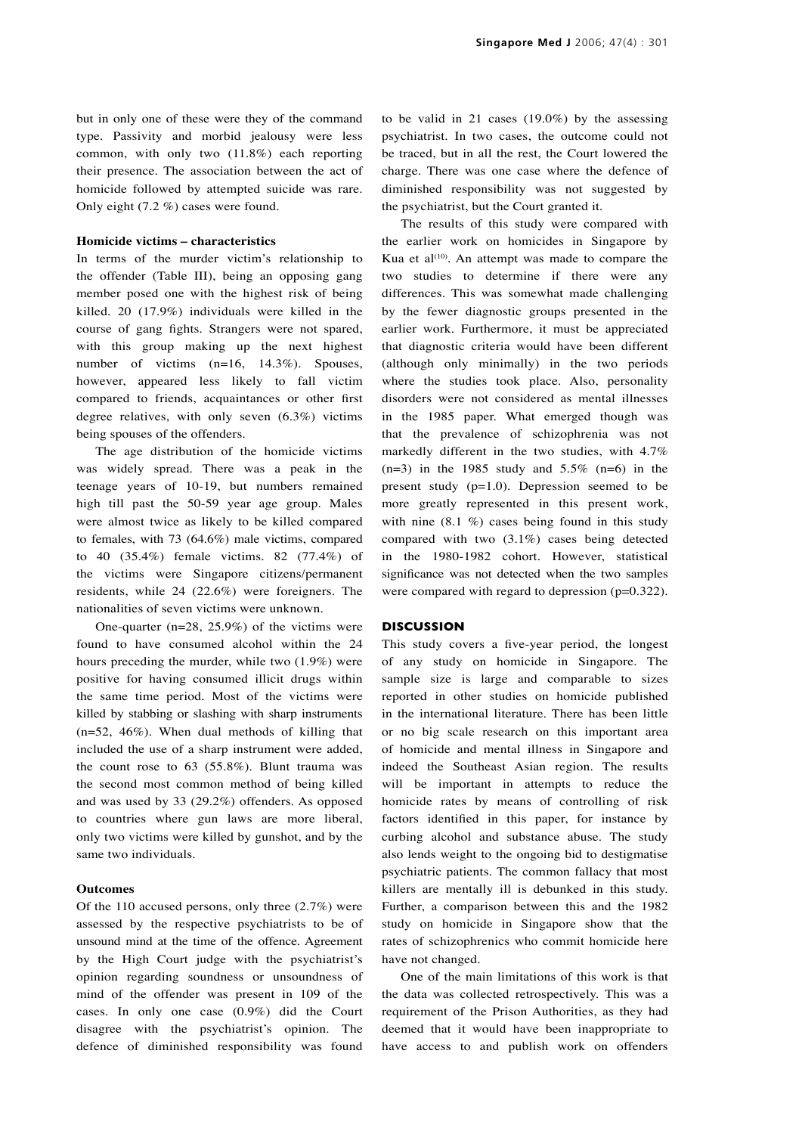but in only one of these were they of the command type. Passivity and morbid jealousy were less common, with only two (11.8%) each reporting their presence. The association between the act of homicide followed by attempted suicide was rare. Only eight (7.2 %) cases were found.

# **Homicide victims – characteristics**

In terms of the murder victim's relationship to the offender (Table III), being an opposing gang member posed one with the highest risk of being killed. 20 (17.9%) individuals were killed in the course of gang fights. Strangers were not spared, with this group making up the next highest number of victims (n=16, 14.3%). Spouses, however, appeared less likely to fall victim compared to friends, acquaintances or other first degree relatives, with only seven (6.3%) victims being spouses of the offenders.

The age distribution of the homicide victims was widely spread. There was a peak in the teenage years of 10-19, but numbers remained high till past the 50-59 year age group. Males were almost twice as likely to be killed compared to females, with 73 (64.6%) male victims, compared to 40 (35.4%) female victims. 82 (77.4%) of the victims were Singapore citizens/permanent residents, while 24 (22.6%) were foreigners. The nationalities of seven victims were unknown.

One-quarter (n=28, 25.9%) of the victims were found to have consumed alcohol within the 24 hours preceding the murder, while two (1.9%) were positive for having consumed illicit drugs within the same time period. Most of the victims were killed by stabbing or slashing with sharp instruments (n=52, 46%). When dual methods of killing that included the use of a sharp instrument were added, the count rose to 63 (55.8%). Blunt trauma was the second most common method of being killed and was used by 33 (29.2%) offenders. As opposed to countries where gun laws are more liberal, only two victims were killed by gunshot, and by the same two individuals.

# **Outcomes**

Of the 110 accused persons, only three (2.7%) were assessed by the respective psychiatrists to be of unsound mind at the time of the offence. Agreement by the High Court judge with the psychiatrist's opinion regarding soundness or unsoundness of mind of the offender was present in 109 of the cases. In only one case (0.9%) did the Court disagree with the psychiatrist's opinion. The defence of diminished responsibility was found to be valid in 21 cases (19.0%) by the assessing psychiatrist. In two cases, the outcome could not be traced, but in all the rest, the Court lowered the charge. There was one case where the defence of diminished responsibility was not suggested by the psychiatrist, but the Court granted it.

The results of this study were compared with the earlier work on homicides in Singapore by Kua et al $(10)$ . An attempt was made to compare the two studies to determine if there were any differences. This was somewhat made challenging by the fewer diagnostic groups presented in the earlier work. Furthermore, it must be appreciated that diagnostic criteria would have been different (although only minimally) in the two periods where the studies took place. Also, personality disorders were not considered as mental illnesses in the 1985 paper. What emerged though was that the prevalence of schizophrenia was not markedly different in the two studies, with 4.7%  $(n=3)$  in the 1985 study and 5.5%  $(n=6)$  in the present study (p=1.0). Depression seemed to be more greatly represented in this present work, with nine  $(8.1 \%)$  cases being found in this study compared with two (3.1%) cases being detected in the 1980-1982 cohort. However, statistical significance was not detected when the two samples were compared with regard to depression  $(p=0.322)$ .

## **DISCUSSION**

This study covers a five-year period, the longest of any study on homicide in Singapore. The sample size is large and comparable to sizes reported in other studies on homicide published in the international literature. There has been little or no big scale research on this important area of homicide and mental illness in Singapore and indeed the Southeast Asian region. The results will be important in attempts to reduce the homicide rates by means of controlling of risk factors identified in this paper, for instance by curbing alcohol and substance abuse. The study also lends weight to the ongoing bid to destigmatise psychiatric patients. The common fallacy that most killers are mentally ill is debunked in this study. Further, a comparison between this and the 1982 study on homicide in Singapore show that the rates of schizophrenics who commit homicide here have not changed.

One of the main limitations of this work is that the data was collected retrospectively. This was a requirement of the Prison Authorities, as they had deemed that it would have been inappropriate to have access to and publish work on offenders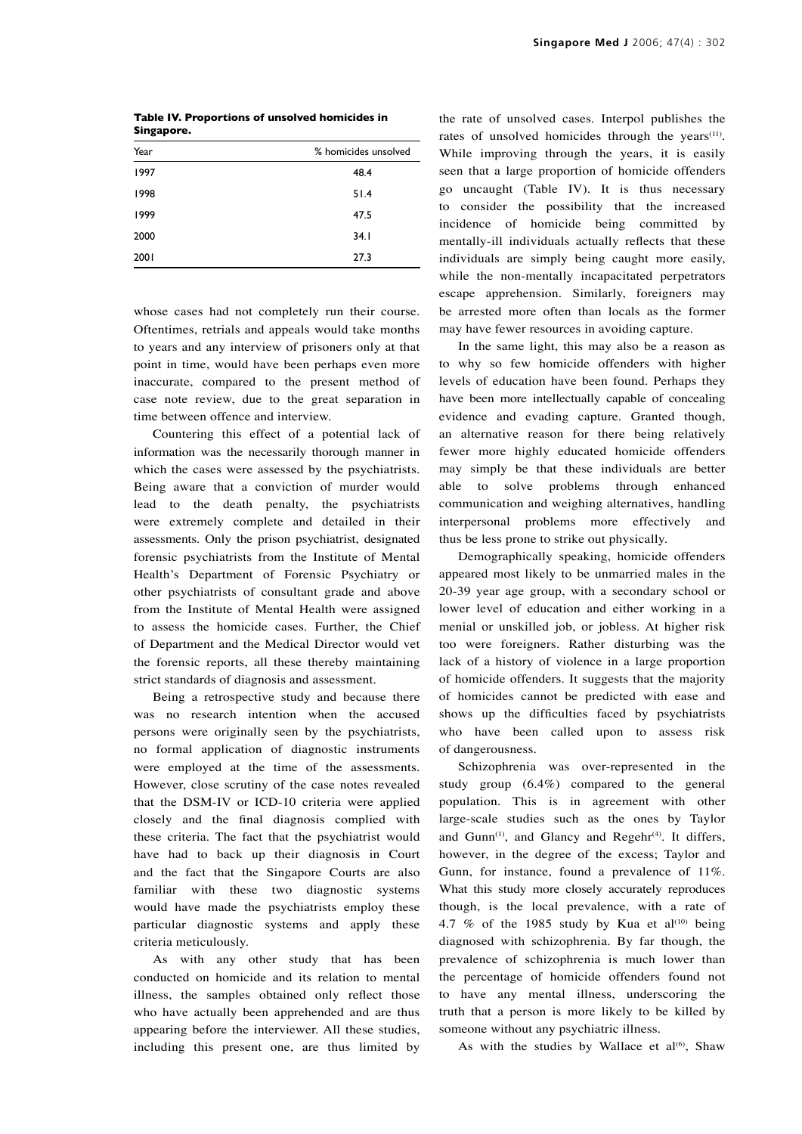| Table IV. Proportions of unsolved homicides in |  |
|------------------------------------------------|--|
| Singapore.                                     |  |

| Year | % homicides unsolved |
|------|----------------------|
| 1997 | 48.4                 |
| 1998 | 51.4                 |
| 1999 | 47.5                 |
| 2000 | 34.1                 |
| 2001 | 27.3                 |

whose cases had not completely run their course. Oftentimes, retrials and appeals would take months to years and any interview of prisoners only at that point in time, would have been perhaps even more inaccurate, compared to the present method of case note review, due to the great separation in time between offence and interview.

Countering this effect of a potential lack of information was the necessarily thorough manner in which the cases were assessed by the psychiatrists. Being aware that a conviction of murder would lead to the death penalty, the psychiatrists were extremely complete and detailed in their assessments. Only the prison psychiatrist, designated forensic psychiatrists from the Institute of Mental Health's Department of Forensic Psychiatry or other psychiatrists of consultant grade and above from the Institute of Mental Health were assigned to assess the homicide cases. Further, the Chief of Department and the Medical Director would vet the forensic reports, all these thereby maintaining strict standards of diagnosis and assessment.

Being a retrospective study and because there was no research intention when the accused persons were originally seen by the psychiatrists, no formal application of diagnostic instruments were employed at the time of the assessments. However, close scrutiny of the case notes revealed that the DSM-IV or ICD-10 criteria were applied closely and the final diagnosis complied with these criteria. The fact that the psychiatrist would have had to back up their diagnosis in Court and the fact that the Singapore Courts are also familiar with these two diagnostic systems would have made the psychiatrists employ these particular diagnostic systems and apply these criteria meticulously.

As with any other study that has been conducted on homicide and its relation to mental illness, the samples obtained only reflect those who have actually been apprehended and are thus appearing before the interviewer. All these studies, including this present one, are thus limited by the rate of unsolved cases. Interpol publishes the rates of unsolved homicides through the years<sup>(11)</sup>. While improving through the years, it is easily seen that a large proportion of homicide offenders go uncaught (Table IV). It is thus necessary to consider the possibility that the increased incidence of homicide being committed by mentally-ill individuals actually reflects that these individuals are simply being caught more easily, while the non-mentally incapacitated perpetrators escape apprehension. Similarly, foreigners may be arrested more often than locals as the former may have fewer resources in avoiding capture.

In the same light, this may also be a reason as to why so few homicide offenders with higher levels of education have been found. Perhaps they have been more intellectually capable of concealing evidence and evading capture. Granted though, an alternative reason for there being relatively fewer more highly educated homicide offenders may simply be that these individuals are better able to solve problems through enhanced communication and weighing alternatives, handling interpersonal problems more effectively and thus be less prone to strike out physically.

Demographically speaking, homicide offenders appeared most likely to be unmarried males in the 20-39 year age group, with a secondary school or lower level of education and either working in a menial or unskilled job, or jobless. At higher risk too were foreigners. Rather disturbing was the lack of a history of violence in a large proportion of homicide offenders. It suggests that the majority of homicides cannot be predicted with ease and shows up the difficulties faced by psychiatrists who have been called upon to assess risk of dangerousness.

Schizophrenia was over-represented in the study group (6.4%) compared to the general population. This is in agreement with other large-scale studies such as the ones by Taylor and Gunn<sup>(1)</sup>, and Glancy and Regehr<sup>(4)</sup>. It differs, however, in the degree of the excess; Taylor and Gunn, for instance, found a prevalence of 11%. What this study more closely accurately reproduces though, is the local prevalence, with a rate of 4.7 % of the 1985 study by Kua et al<sup>(10)</sup> being diagnosed with schizophrenia. By far though, the prevalence of schizophrenia is much lower than the percentage of homicide offenders found not to have any mental illness, underscoring the truth that a person is more likely to be killed by someone without any psychiatric illness.

As with the studies by Wallace et al<sup>(6)</sup>, Shaw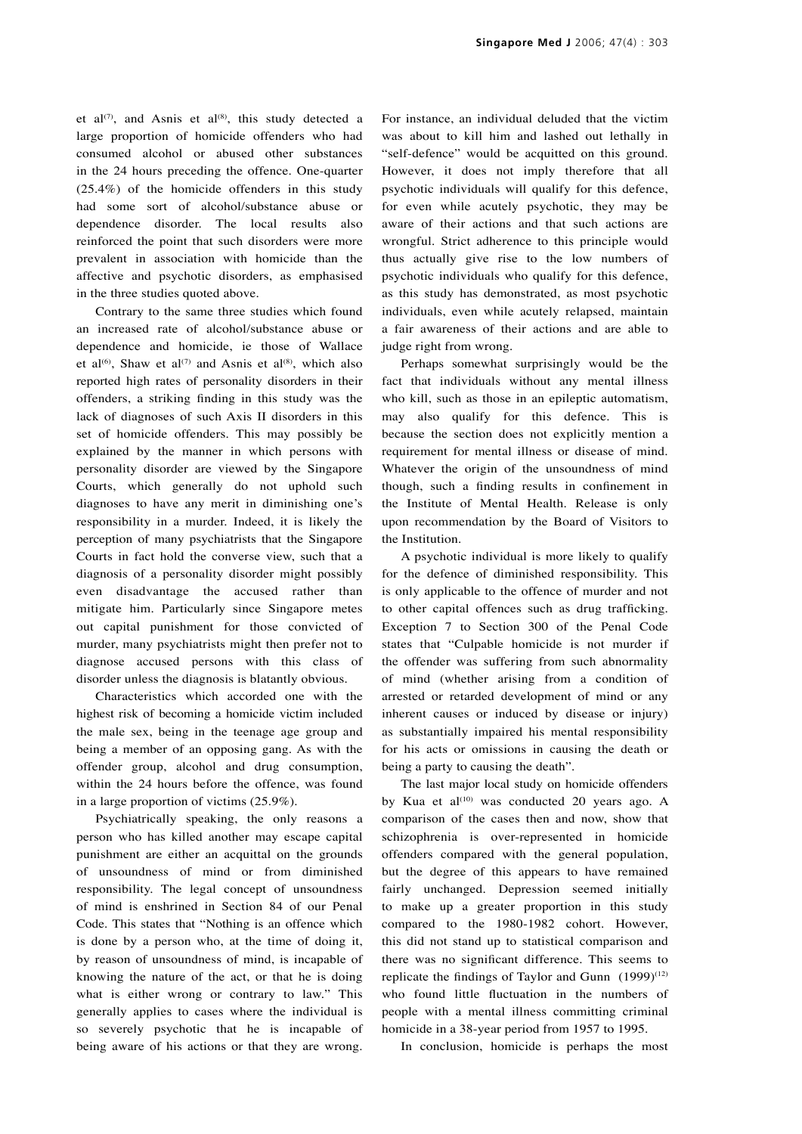et al $(7)$ , and Asnis et al $(8)$ , this study detected a large proportion of homicide offenders who had consumed alcohol or abused other substances in the 24 hours preceding the offence. One-quarter (25.4%) of the homicide offenders in this study had some sort of alcohol/substance abuse or dependence disorder. The local results also reinforced the point that such disorders were more prevalent in association with homicide than the affective and psychotic disorders, as emphasised in the three studies quoted above.

Contrary to the same three studies which found an increased rate of alcohol/substance abuse or dependence and homicide, ie those of Wallace et al<sup>(6)</sup>, Shaw et al<sup>(7)</sup> and Asnis et al<sup>(8)</sup>, which also reported high rates of personality disorders in their offenders, a striking finding in this study was the lack of diagnoses of such Axis II disorders in this set of homicide offenders. This may possibly be explained by the manner in which persons with personality disorder are viewed by the Singapore Courts, which generally do not uphold such diagnoses to have any merit in diminishing one's responsibility in a murder. Indeed, it is likely the perception of many psychiatrists that the Singapore Courts in fact hold the converse view, such that a diagnosis of a personality disorder might possibly even disadvantage the accused rather than mitigate him. Particularly since Singapore metes out capital punishment for those convicted of murder, many psychiatrists might then prefer not to diagnose accused persons with this class of disorder unless the diagnosis is blatantly obvious.

Characteristics which accorded one with the highest risk of becoming a homicide victim included the male sex, being in the teenage age group and being a member of an opposing gang. As with the offender group, alcohol and drug consumption, within the 24 hours before the offence, was found in a large proportion of victims (25.9%).

Psychiatrically speaking, the only reasons a person who has killed another may escape capital punishment are either an acquittal on the grounds of unsoundness of mind or from diminished responsibility. The legal concept of unsoundness of mind is enshrined in Section 84 of our Penal Code. This states that "Nothing is an offence which is done by a person who, at the time of doing it, by reason of unsoundness of mind, is incapable of knowing the nature of the act, or that he is doing what is either wrong or contrary to law." This generally applies to cases where the individual is so severely psychotic that he is incapable of being aware of his actions or that they are wrong.

For instance, an individual deluded that the victim was about to kill him and lashed out lethally in "self-defence" would be acquitted on this ground. However, it does not imply therefore that all psychotic individuals will qualify for this defence, for even while acutely psychotic, they may be aware of their actions and that such actions are wrongful. Strict adherence to this principle would thus actually give rise to the low numbers of psychotic individuals who qualify for this defence, as this study has demonstrated, as most psychotic individuals, even while acutely relapsed, maintain a fair awareness of their actions and are able to judge right from wrong.

Perhaps somewhat surprisingly would be the fact that individuals without any mental illness who kill, such as those in an epileptic automatism, may also qualify for this defence. This is because the section does not explicitly mention a requirement for mental illness or disease of mind. Whatever the origin of the unsoundness of mind though, such a finding results in confinement in the Institute of Mental Health. Release is only upon recommendation by the Board of Visitors to the Institution.

A psychotic individual is more likely to qualify for the defence of diminished responsibility. This is only applicable to the offence of murder and not to other capital offences such as drug trafficking. Exception 7 to Section 300 of the Penal Code states that "Culpable homicide is not murder if the offender was suffering from such abnormality of mind (whether arising from a condition of arrested or retarded development of mind or any inherent causes or induced by disease or injury) as substantially impaired his mental responsibility for his acts or omissions in causing the death or being a party to causing the death".

The last major local study on homicide offenders by Kua et al $(10)$  was conducted 20 years ago. A comparison of the cases then and now, show that schizophrenia is over-represented in homicide offenders compared with the general population, but the degree of this appears to have remained fairly unchanged. Depression seemed initially to make up a greater proportion in this study compared to the 1980-1982 cohort. However, this did not stand up to statistical comparison and there was no significant difference. This seems to replicate the findings of Taylor and Gunn  $(1999)^{(12)}$ who found little fluctuation in the numbers of people with a mental illness committing criminal homicide in a 38-year period from 1957 to 1995.

In conclusion, homicide is perhaps the most